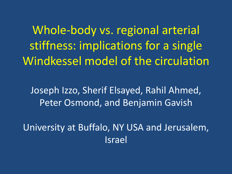Whole-body vs. regional arterial stiffness: implications for a single Windkessel model of the circulation

Joseph Izzo, Sherif Elsayed, Rahil Ahmed, Peter Osmond, and Benjamin Gavish

University at Buffalo, NY USA and Jerusalem, Israel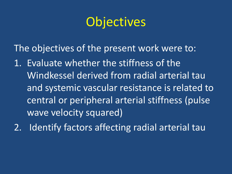## **Objectives**

The objectives of the present work were to:

1. Evaluate whether the stiffness of the Windkessel derived from radial arterial tau and systemic vascular resistance is related to central or peripheral arterial stiffness (pulse wave velocity squared)

2. Identify factors affecting radial arterial tau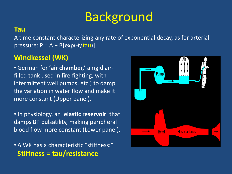# Background

### **Tau**

A time constant characterizing any rate of exponential decay, as for arterial pressure:  $P = A + B[exp(-t/tau)]$ 

### **Windkessel (WK)**

• German for '**air chamber,**' a rigid airfilled tank used in fire fighting, with intermittent well pumps, etc.) to damp the variation in water flow and make it more constant (Upper panel).

• In physiology, an '**elastic reservoir**' that damps BP pulsatility, making peripheral blood flow more constant (Lower panel).

• A WK has a characteristic "stiffness:" **Stiffness = tau/resistance** 

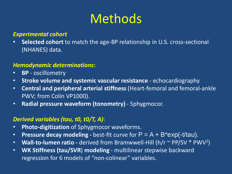## Methods

#### *Experimental cohort*

• **Selected cohort** to match the age-BP relationship in U.S. cross-sectional (NHANES) data.

#### *Hemodynamic determinations***:**

- **BP**  oscillometry
- **Stroke volume and systemic vascular resistance**  echocardiography
- **Central and peripheral arterial stiffness** (Heart-femoral and femoral-ankle PWV; from Colin VP1000).
- **Radial pressure waveform (tonometry)**  Sphygmocor.

#### *Derived variables (tau, t0, t0/T, A)*:

- **Photo-digitization** of Sphygmocor waveforms.
- **Pressure decay modeling -** best-fit curve for P = A + B\*exp(-t/tau).
- Wall-to-lumen ratio derived from Bramwwell-Hill (h/r ~ PP/SV \* PWV<sup>2</sup>)
- **WK Stiffness (tau/SVR**) **modeling** multilinear stepwise backward regression for 6 models of "non-colinear" variables.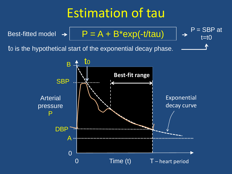## Estimation of tau

Best-fitted model 
$$
\rightarrow
$$
  $\boxed{P = A + B^* \exp(-t/\tau)} \rightarrow$   $P = \text{SBP at } \left( \frac{1}{\tau} \right)$ 

 $t=10$ 

to is the hypothetical start of the exponential decay phase.

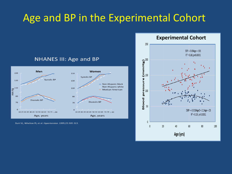### Age and BP in the Experimental Cohort



**NHANES III: Age and BP** 

Burt VL, Whelton PJ, et al. Hypertension. 1995;25:305-313.

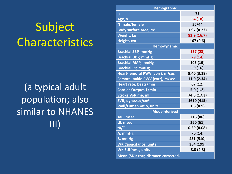# Subject Characteristics

(a typical adult population; also similar to NHANES III)

| <b>Demographic</b>                   |             |  |  |
|--------------------------------------|-------------|--|--|
| $\mathsf{n}$                         | 75          |  |  |
| Age, y                               | 54 (18)     |  |  |
| % male/female                        | 56/44       |  |  |
| Body surface area, m <sup>2</sup>    | 1.97(0.22)  |  |  |
| <b>Weight</b> , kg                   | 83.9 (16.7) |  |  |
| Height, cm                           | 167 (9.6)   |  |  |
| Hemodynamic                          |             |  |  |
| <b>Brachial SBP, mmHg</b>            | 137 (23)    |  |  |
| <b>Brachial DBP, mmHg</b>            | 79 (14)     |  |  |
| <b>Brachial MAP, mmHg</b>            | 105 (19)    |  |  |
| <b>Brachial PP, mmHg</b>             | 59 (16)     |  |  |
| Heart-femoral PWV (corr), m/sec      | 9.40(3.19)  |  |  |
| Femoral-ankle PWV (corr), m/sec      | 11.0 (2.34) |  |  |
| Heart rate, beats/min                | 67 (12)     |  |  |
| <b>Cardiac Output, L/min</b>         | 5.0(1.2)    |  |  |
| <b>Stroke Volume, ml</b>             | 74.5 (17.3) |  |  |
| SVR, dyne.sec/cm <sup>5</sup>        | 1610 (415)  |  |  |
| <b>Wall/Lumen ratio, units</b>       | 1.6(0.9)    |  |  |
| <b>Model-derived</b>                 |             |  |  |
| Tau, msec                            | 216 (86)    |  |  |
| t0, msec                             | 260 (61)    |  |  |
| t0/T                                 | 0.29(0.08)  |  |  |
| A, mmHg                              | 76 (14)     |  |  |
| <b>B</b> , mmHg                      | 451 (510)   |  |  |
| <b>WK Capacitance, units</b>         | 354 (199)   |  |  |
| <b>WK Stiffness, units</b>           | 8.8(4.8)    |  |  |
| Mean (SD); corr, distance-corrected. |             |  |  |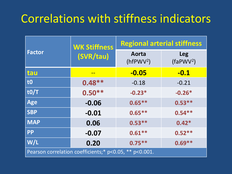### Correlations with stiffness indicators

|                                                        | <b>WK Stiffness</b> | <b>Regional arterial stiffness</b> |                           |  |
|--------------------------------------------------------|---------------------|------------------------------------|---------------------------|--|
| <b>Factor</b>                                          | (SVR/tau)           | Aorta<br>$(hfPWV^2)$               | <b>Leg</b><br>$(faPWV^2)$ |  |
| tau                                                    |                     | $-0.05$                            | $-0.1$                    |  |
| t0                                                     | $0.48**$            | $-0.18$                            | $-0.21$                   |  |
| t0/T                                                   | $0.50**$            | $-0.23*$                           | $-0.26*$                  |  |
| <b>Age</b>                                             | $-0.06$             | $0.65***$                          | $0.53***$                 |  |
| <b>SBP</b>                                             | $-0.01$             | $0.65***$                          | $0.54***$                 |  |
| <b>MAP</b>                                             | 0.06                | $0.53***$                          | $0.42*$                   |  |
| <b>PP</b>                                              | $-0.07$             | $0.61***$                          | $0.52**$                  |  |
| W/L                                                    | 0.20                | $0.75***$                          | $0.69**$                  |  |
| Pearson correlation coefficients;* p<0.05, ** p<0.001. |                     |                                    |                           |  |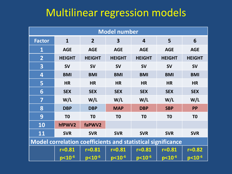### Multilinear regression models

| <b>Model number</b>                                                |                |                |                |                |                       |                |
|--------------------------------------------------------------------|----------------|----------------|----------------|----------------|-----------------------|----------------|
| <b>Factor</b>                                                      | $\mathbf{1}$   | $\overline{2}$ | 3              | 4              | 5                     | 6              |
| $\mathbf{1}$                                                       | <b>AGE</b>     | <b>AGE</b>     | <b>AGE</b>     | <b>AGE</b>     | <b>AGE</b>            | <b>AGE</b>     |
| $\overline{2}$                                                     | <b>HEIGHT</b>  | <b>HEIGHT</b>  | <b>HEIGHT</b>  | <b>HEIGHT</b>  | <b>HEIGHT</b>         | <b>HEIGHT</b>  |
| 3                                                                  | <b>SV</b>      | <b>SV</b>      | <b>SV</b>      | <b>SV</b>      | <b>SV</b>             | <b>SV</b>      |
| $\overline{\mathbf{4}}$                                            | <b>BMI</b>     | <b>BMI</b>     | <b>BMI</b>     | <b>BMI</b>     | <b>BMI</b>            | <b>BMI</b>     |
| 5                                                                  | <b>HR</b>      | <b>HR</b>      | <b>HR</b>      | <b>HR</b>      | <b>HR</b>             | <b>HR</b>      |
| 6                                                                  | <b>SEX</b>     | <b>SEX</b>     | <b>SEX</b>     | <b>SEX</b>     | <b>SEX</b>            | <b>SEX</b>     |
| 7                                                                  | W/L            | W/L            | W/L            | W/L            | W/L                   | W/L            |
| 8                                                                  | <b>DBP</b>     | <b>DBP</b>     | <b>MAP</b>     | <b>DBP</b>     | <b>SBP</b>            | <b>PP</b>      |
| 9                                                                  | T <sub>0</sub> | T <sub>0</sub> | T <sub>0</sub> | T <sub>0</sub> | T <sub>0</sub>        | T <sub>0</sub> |
| <b>10</b>                                                          | hfPWV2         | faPWV2         |                |                |                       |                |
| <b>11</b>                                                          | <b>SVR</b>     | <b>SVR</b>     | <b>SVR</b>     | <b>SVR</b>     | <b>SVR</b>            | <b>SVR</b>     |
| <b>Model correlation coefficients and statistical significance</b> |                |                |                |                |                       |                |
|                                                                    | $r = 0.81$     | $r = 0.81$     | $r = 0.81$     | $r = 0.81$     | $r = 0.81$            | $r = 0.82$     |
|                                                                    | $p< 10^{-6}$   | $p10-6$        | $p < 10^{-6}$  | $p< 10^{-6}$   | $p<$ 10 <sup>-6</sup> | $p < 10^{-6}$  |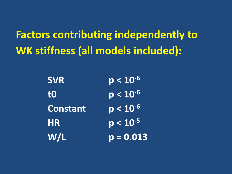**Factors contributing independently to WK stiffness (all models included):**

| W/L             | $p = 0.013$   |
|-----------------|---------------|
| HR              | $p < 10^{-5}$ |
| <b>Constant</b> | $p < 10^{-6}$ |
| t0              | $p < 10^{-6}$ |
| <b>SVR</b>      | $p < 10^{-6}$ |